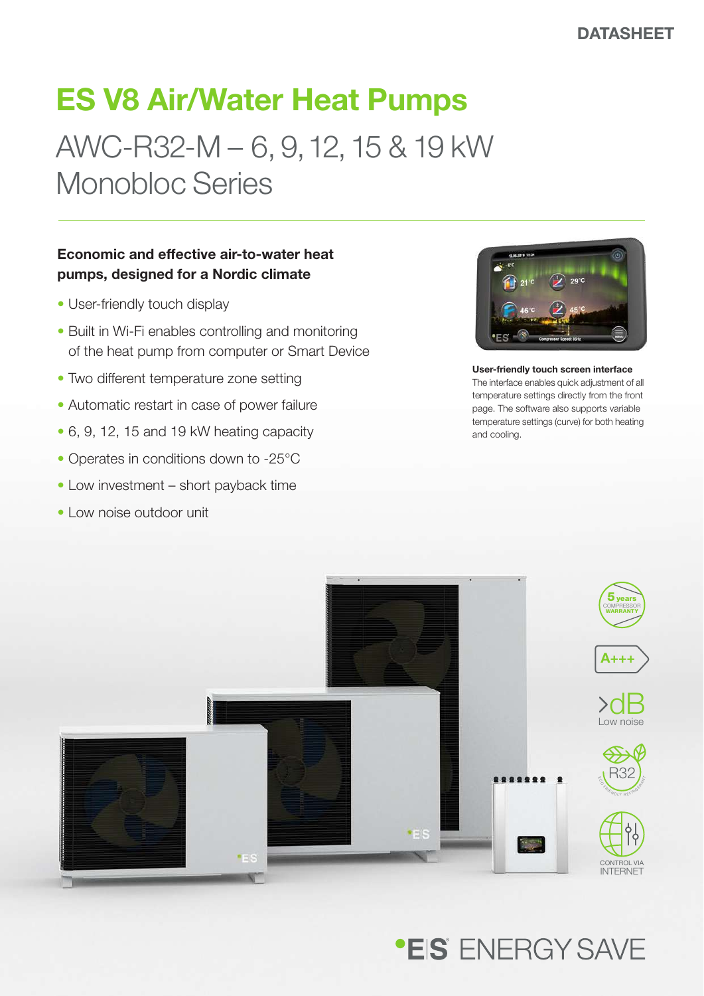### ES V8 Air/Water Heat Pumps

## AWC-R32-M – 6, 9, 12, 15 & 19 kW Monobloc Series

### Economic and effective air-to-water heat pumps, designed for a Nordic climate

- User-friendly touch display
- Built in Wi-Fi enables controlling and monitoring of the heat pump from computer or Smart Device
- Two different temperature zone setting
- Automatic restart in case of power failure
- 6, 9, 12, 15 and 19 kW heating capacity
- Operates in conditions down to -25°C
- Low investment short payback time
- Low noise outdoor unit



User-friendly touch screen interface The interface enables quick adjustment of all temperature settings directly from the front page. The software also supports variable temperature settings (curve) for both heating and cooling.



### **\*EIS** FNFRGY SAVF